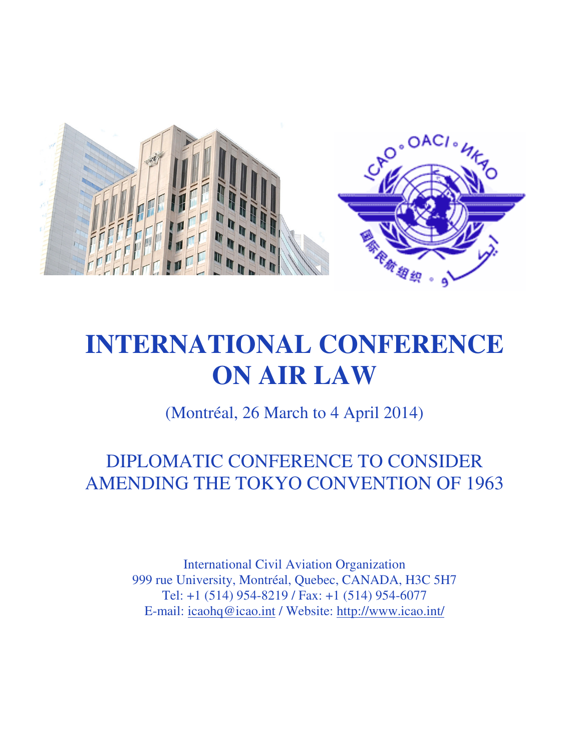

# **INTERNATIONAL CONFERENCE ON AIR LAW**

(Montréal, 26 March to 4 April 2014)

DIPLOMATIC CONFERENCE TO CONSIDER AMENDING THE TOKYO CONVENTION OF 1963

> International Civil Aviation Organization 999 rue University, Montréal, Quebec, CANADA, H3C 5H7 Tel: +1 (514) 954-8219 / Fax: +1 (514) 954-6077 E-mail: icaohq@icao.int / Website: http://www.icao.int/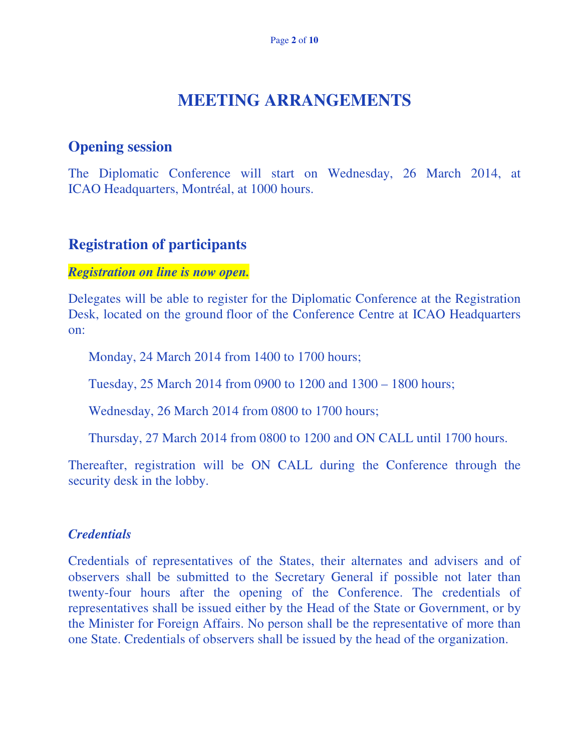# **MEETING ARRANGEMENTS**

## **Opening session**

The Diplomatic Conference will start on Wednesday, 26 March 2014, at ICAO Headquarters, Montréal, at 1000 hours.

## **Registration of participants**

#### *Registration on line is now open.*

Delegates will be able to register for the Diplomatic Conference at the Registration Desk, located on the ground floor of the Conference Centre at ICAO Headquarters on:

Monday, 24 March 2014 from 1400 to 1700 hours;

Tuesday, 25 March 2014 from 0900 to 1200 and 1300 – 1800 hours;

Wednesday, 26 March 2014 from 0800 to 1700 hours;

Thursday, 27 March 2014 from 0800 to 1200 and ON CALL until 1700 hours.

Thereafter, registration will be ON CALL during the Conference through the security desk in the lobby.

#### *Credentials*

Credentials of representatives of the States, their alternates and advisers and of observers shall be submitted to the Secretary General if possible not later than twenty-four hours after the opening of the Conference. The credentials of representatives shall be issued either by the Head of the State or Government, or by the Minister for Foreign Affairs. No person shall be the representative of more than one State. Credentials of observers shall be issued by the head of the organization.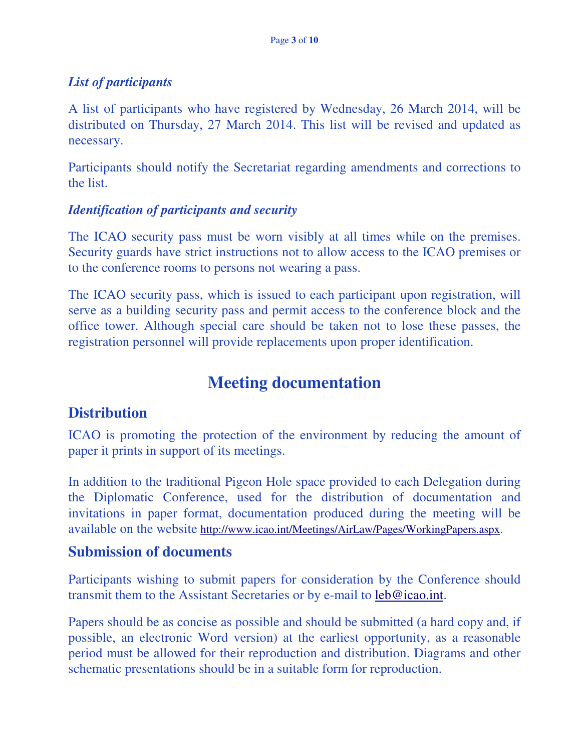#### *List of participants*

A list of participants who have registered by Wednesday, 26 March 2014, will be distributed on Thursday, 27 March 2014. This list will be revised and updated as necessary.

Participants should notify the Secretariat regarding amendments and corrections to the list.

#### *Identification of participants and security*

The ICAO security pass must be worn visibly at all times while on the premises. Security guards have strict instructions not to allow access to the ICAO premises or to the conference rooms to persons not wearing a pass.

The ICAO security pass, which is issued to each participant upon registration, will serve as a building security pass and permit access to the conference block and the office tower. Although special care should be taken not to lose these passes, the registration personnel will provide replacements upon proper identification.

# **Meeting documentation**

## **Distribution**

ICAO is promoting the protection of the environment by reducing the amount of paper it prints in support of its meetings.

In addition to the traditional Pigeon Hole space provided to each Delegation during the Diplomatic Conference, used for the distribution of documentation and invitations in paper format, documentation produced during the meeting will be available on the website http://www.icao.int/Meetings/AirLaw/Pages/WorkingPapers.aspx.

#### **Submission of documents**

Participants wishing to submit papers for consideration by the Conference should transmit them to the Assistant Secretaries or by e-mail to leb@icao.int.

Papers should be as concise as possible and should be submitted (a hard copy and, if possible, an electronic Word version) at the earliest opportunity, as a reasonable period must be allowed for their reproduction and distribution. Diagrams and other schematic presentations should be in a suitable form for reproduction.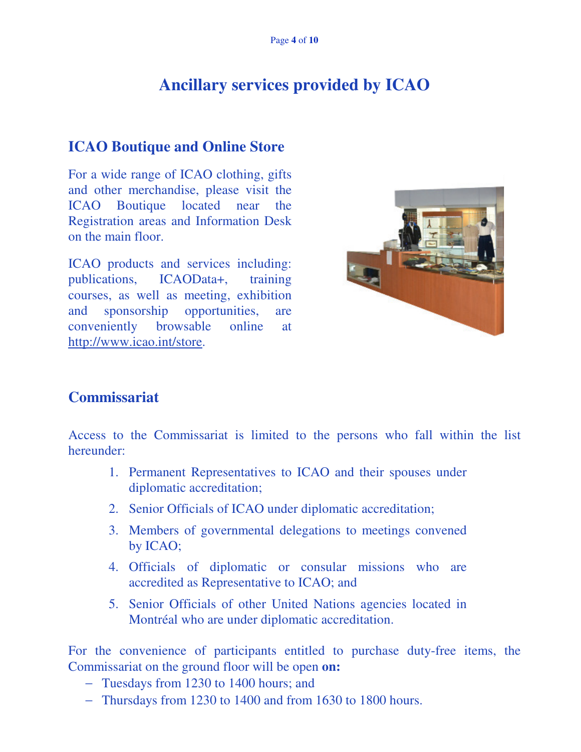# **Ancillary services provided by ICAO**

## **ICAO Boutique and Online Store**

For a wide range of ICAO clothing, gifts and other merchandise, please visit the ICAO Boutique located near the Registration areas and Information Desk on the main floor.

ICAO products and services including: publications, ICAOData+, training courses, as well as meeting, exhibition and sponsorship opportunities, are conveniently browsable online at http://www.icao.int/store.



#### **Commissariat**

Access to the Commissariat is limited to the persons who fall within the list hereunder:

- 1. Permanent Representatives to ICAO and their spouses under diplomatic accreditation;
- 2. Senior Officials of ICAO under diplomatic accreditation;
- 3. Members of governmental delegations to meetings convened by ICAO;
- 4. Officials of diplomatic or consular missions who are accredited as Representative to ICAO; and
- 5. Senior Officials of other United Nations agencies located in Montréal who are under diplomatic accreditation.

For the convenience of participants entitled to purchase duty-free items, the Commissariat on the ground floor will be open **on:** 

- − Tuesdays from 1230 to 1400 hours; and
- − Thursdays from 1230 to 1400 and from 1630 to 1800 hours.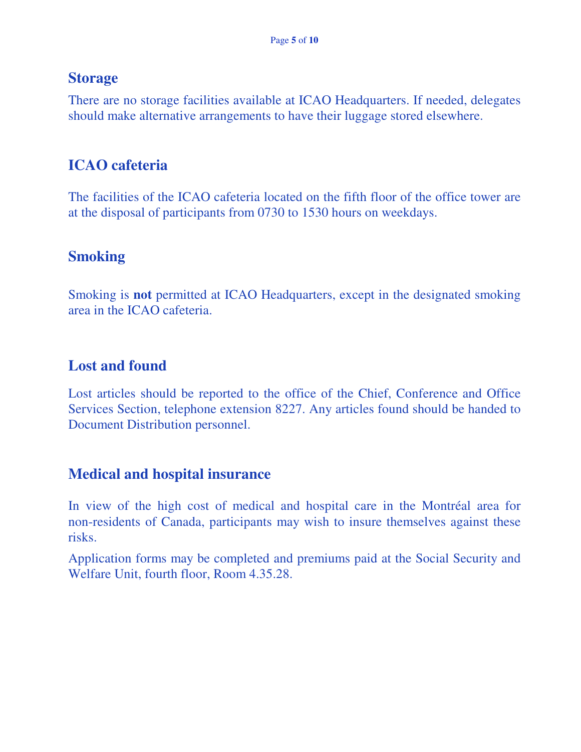### **Storage**

There are no storage facilities available at ICAO Headquarters. If needed, delegates should make alternative arrangements to have their luggage stored elsewhere.

# **ICAO cafeteria**

The facilities of the ICAO cafeteria located on the fifth floor of the office tower are at the disposal of participants from 0730 to 1530 hours on weekdays.

# **Smoking**

Smoking is **not** permitted at ICAO Headquarters, except in the designated smoking area in the ICAO cafeteria.

# **Lost and found**

Lost articles should be reported to the office of the Chief, Conference and Office Services Section, telephone extension 8227. Any articles found should be handed to Document Distribution personnel.

## **Medical and hospital insurance**

In view of the high cost of medical and hospital care in the Montréal area for non-residents of Canada, participants may wish to insure themselves against these risks.

Application forms may be completed and premiums paid at the Social Security and Welfare Unit, fourth floor, Room 4.35.28.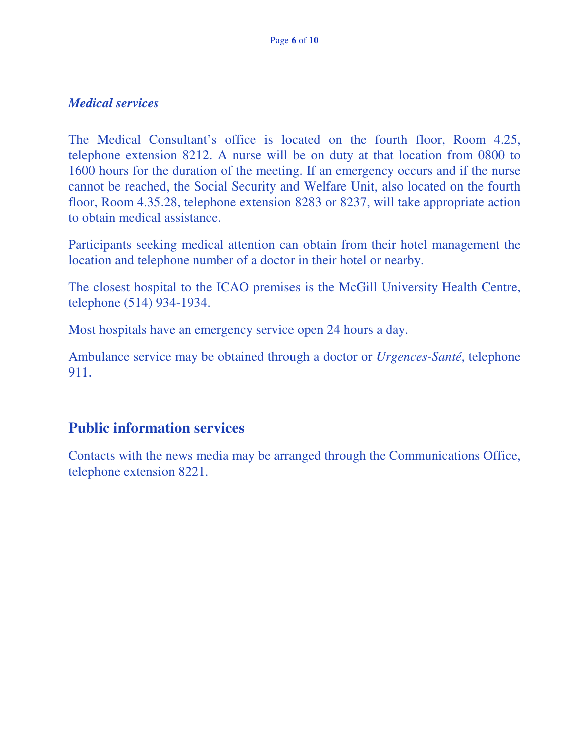#### *Medical services*

The Medical Consultant's office is located on the fourth floor, Room 4.25, telephone extension 8212. A nurse will be on duty at that location from 0800 to 1600 hours for the duration of the meeting. If an emergency occurs and if the nurse cannot be reached, the Social Security and Welfare Unit, also located on the fourth floor, Room 4.35.28, telephone extension 8283 or 8237, will take appropriate action to obtain medical assistance.

Participants seeking medical attention can obtain from their hotel management the location and telephone number of a doctor in their hotel or nearby.

The closest hospital to the ICAO premises is the McGill University Health Centre, telephone (514) 934-1934.

Most hospitals have an emergency service open 24 hours a day.

Ambulance service may be obtained through a doctor or *Urgences-Santé*, telephone 911.

## **Public information services**

Contacts with the news media may be arranged through the Communications Office, telephone extension 8221.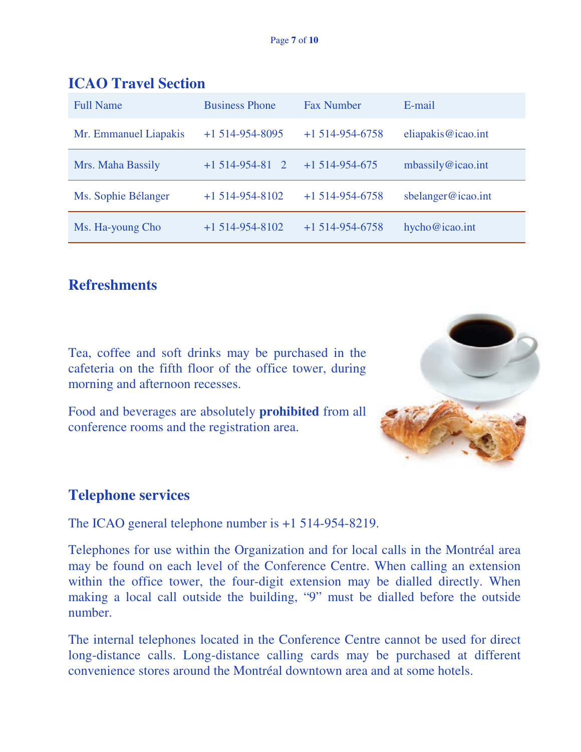| <b>Full Name</b>      | <b>Business Phone</b> | <b>Fax Number</b> | E-mail             |
|-----------------------|-----------------------|-------------------|--------------------|
| Mr. Emmanuel Liapakis | $+1$ 514-954-8095     | $+1514-954-6758$  | eliapakis@icao.int |
| Mrs. Maha Bassily     | $+1514-954-81$ 2      | $+1514-954-675$   | mbassily@icao.int  |
| Ms. Sophie Bélanger   | $+1514-954-8102$      | $+1514-954-6758$  | sbelanger@icao.int |
| Ms. Ha-young Cho      | $+1514-954-8102$      | $+1514-954-6758$  | hycho@icao.int     |

### **ICAO Travel Section**

## **Refreshments**

Tea, coffee and soft drinks may be purchased in the cafeteria on the fifth floor of the office tower, during morning and afternoon recesses.

Food and beverages are absolutely **prohibited** from all conference rooms and the registration area.



#### **Telephone services**

The ICAO general telephone number is +1 514-954-8219.

Telephones for use within the Organization and for local calls in the Montréal area may be found on each level of the Conference Centre. When calling an extension within the office tower, the four-digit extension may be dialled directly. When making a local call outside the building, "9" must be dialled before the outside number.

The internal telephones located in the Conference Centre cannot be used for direct long-distance calls. Long-distance calling cards may be purchased at different convenience stores around the Montréal downtown area and at some hotels.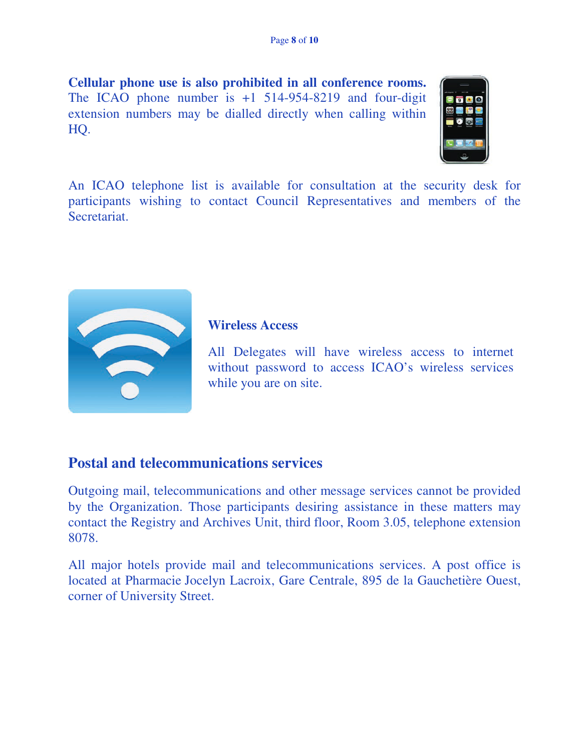**Cellular phone use is also prohibited in all conference rooms.**  The ICAO phone number is  $+1$  514-954-8219 and four-digit extension numbers may be dialled directly when calling within HQ.



An ICAO telephone list is available for consultation at the security desk for participants wishing to contact Council Representatives and members of the Secretariat.



#### **Wireless Access**

All Delegates will have wireless access to internet without password to access ICAO's wireless services while you are on site.

#### **Postal and telecommunications services**

Outgoing mail, telecommunications and other message services cannot be provided by the Organization. Those participants desiring assistance in these matters may contact the Registry and Archives Unit, third floor, Room 3.05, telephone extension 8078.

All major hotels provide mail and telecommunications services. A post office is located at Pharmacie Jocelyn Lacroix, Gare Centrale, 895 de la Gauchetière Ouest, corner of University Street.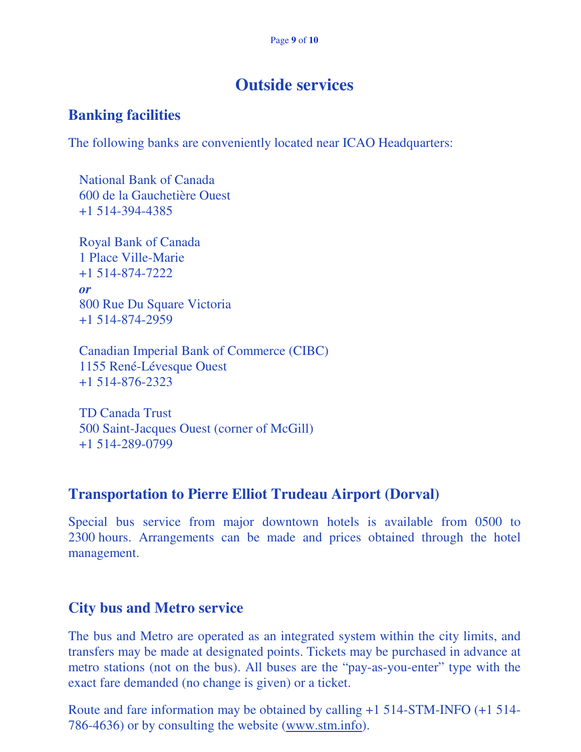# **Outside services**

#### **Banking facilities**

The following banks are conveniently located near ICAO Headquarters:

 National Bank of Canada 600 de la Gauchetière Ouest +1 514-394-4385

 Royal Bank of Canada 1 Place Ville-Marie +1 514-874-7222  *or*  800 Rue Du Square Victoria +1 514-874-2959

 Canadian Imperial Bank of Commerce (CIBC) 1155 René-Lévesque Ouest +1 514-876-2323

 TD Canada Trust 500 Saint-Jacques Ouest (corner of McGill) +1 514-289-0799

#### **Transportation to Pierre Elliot Trudeau Airport (Dorval)**

Special bus service from major downtown hotels is available from 0500 to 2300 hours. Arrangements can be made and prices obtained through the hotel management.

#### **City bus and Metro service**

The bus and Metro are operated as an integrated system within the city limits, and transfers may be made at designated points. Tickets may be purchased in advance at metro stations (not on the bus). All buses are the "pay-as-you-enter" type with the exact fare demanded (no change is given) or a ticket.

Route and fare information may be obtained by calling +1 514-STM-INFO (+1 514- 786-4636) or by consulting the website (www.stm.info).